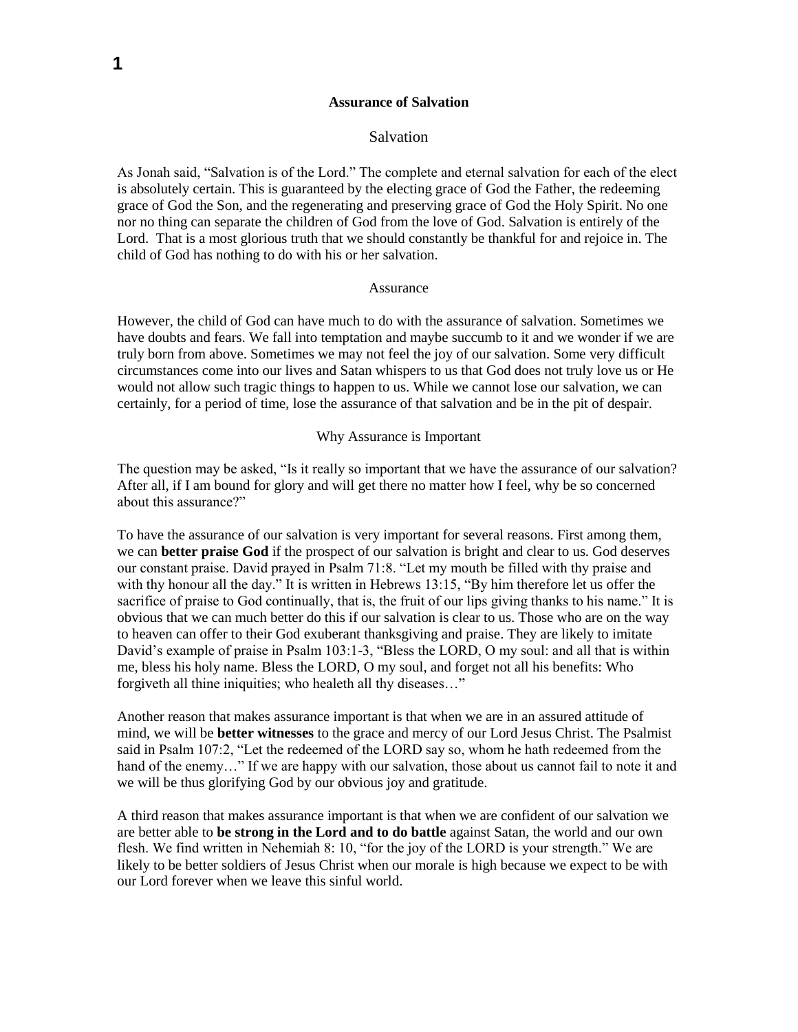#### **Assurance of Salvation**

## Salvation

As Jonah said, "Salvation is of the Lord." The complete and eternal salvation for each of the elect is absolutely certain. This is guaranteed by the electing grace of God the Father, the redeeming grace of God the Son, and the regenerating and preserving grace of God the Holy Spirit. No one nor no thing can separate the children of God from the love of God. Salvation is entirely of the Lord. That is a most glorious truth that we should constantly be thankful for and rejoice in. The child of God has nothing to do with his or her salvation.

## Assurance

However, the child of God can have much to do with the assurance of salvation. Sometimes we have doubts and fears. We fall into temptation and maybe succumb to it and we wonder if we are truly born from above. Sometimes we may not feel the joy of our salvation. Some very difficult circumstances come into our lives and Satan whispers to us that God does not truly love us or He would not allow such tragic things to happen to us. While we cannot lose our salvation, we can certainly, for a period of time, lose the assurance of that salvation and be in the pit of despair.

## Why Assurance is Important

The question may be asked, "Is it really so important that we have the assurance of our salvation? After all, if I am bound for glory and will get there no matter how I feel, why be so concerned about this assurance?"

To have the assurance of our salvation is very important for several reasons. First among them, we can **better praise God** if the prospect of our salvation is bright and clear to us. God deserves our constant praise. David prayed in Psalm 71:8. "Let my mouth be filled with thy praise and with thy honour all the day." It is written in Hebrews 13:15, "By him therefore let us offer the sacrifice of praise to God continually, that is, the fruit of our lips giving thanks to his name." It is obvious that we can much better do this if our salvation is clear to us. Those who are on the way to heaven can offer to their God exuberant thanksgiving and praise. They are likely to imitate David's example of praise in Psalm 103:1-3, "Bless the LORD, O my soul: and all that is within me, bless his holy name. Bless the LORD, O my soul, and forget not all his benefits: Who forgiveth all thine iniquities; who healeth all thy diseases…"

Another reason that makes assurance important is that when we are in an assured attitude of mind, we will be **better witnesses** to the grace and mercy of our Lord Jesus Christ. The Psalmist said in Psalm 107:2, "Let the redeemed of the LORD say so, whom he hath redeemed from the hand of the enemy..." If we are happy with our salvation, those about us cannot fail to note it and we will be thus glorifying God by our obvious joy and gratitude.

A third reason that makes assurance important is that when we are confident of our salvation we are better able to **be strong in the Lord and to do battle** against Satan, the world and our own flesh. We find written in Nehemiah 8: 10, "for the joy of the LORD is your strength." We are likely to be better soldiers of Jesus Christ when our morale is high because we expect to be with our Lord forever when we leave this sinful world.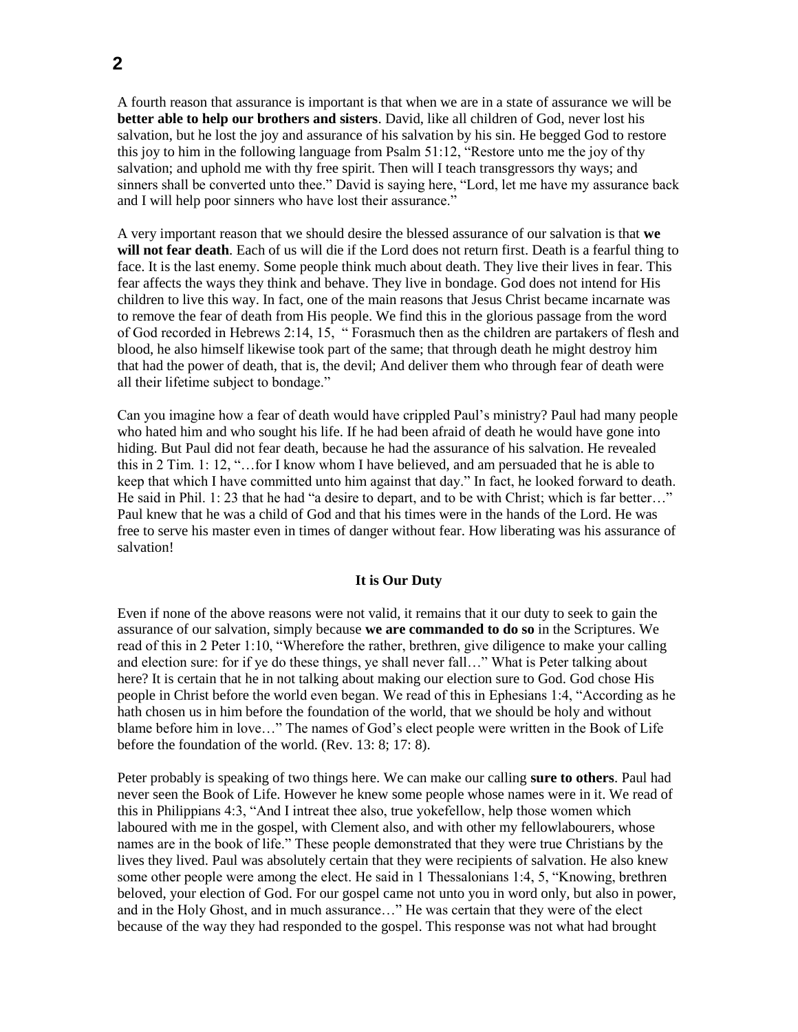A fourth reason that assurance is important is that when we are in a state of assurance we will be **better able to help our brothers and sisters**. David, like all children of God, never lost his salvation, but he lost the joy and assurance of his salvation by his sin. He begged God to restore this joy to him in the following language from Psalm 51:12, "Restore unto me the joy of thy salvation; and uphold me with thy free spirit. Then will I teach transgressors thy ways; and sinners shall be converted unto thee." David is saying here, "Lord, let me have my assurance back and I will help poor sinners who have lost their assurance."

A very important reason that we should desire the blessed assurance of our salvation is that **we will not fear death**. Each of us will die if the Lord does not return first. Death is a fearful thing to face. It is the last enemy. Some people think much about death. They live their lives in fear. This fear affects the ways they think and behave. They live in bondage. God does not intend for His children to live this way. In fact, one of the main reasons that Jesus Christ became incarnate was to remove the fear of death from His people. We find this in the glorious passage from the word of God recorded in Hebrews 2:14, 15, " Forasmuch then as the children are partakers of flesh and blood, he also himself likewise took part of the same; that through death he might destroy him that had the power of death, that is, the devil; And deliver them who through fear of death were all their lifetime subject to bondage."

Can you imagine how a fear of death would have crippled Paul's ministry? Paul had many people who hated him and who sought his life. If he had been afraid of death he would have gone into hiding. But Paul did not fear death, because he had the assurance of his salvation. He revealed this in 2 Tim. 1: 12, "…for I know whom I have believed, and am persuaded that he is able to keep that which I have committed unto him against that day." In fact, he looked forward to death. He said in Phil. 1: 23 that he had "a desire to depart, and to be with Christ; which is far better…" Paul knew that he was a child of God and that his times were in the hands of the Lord. He was free to serve his master even in times of danger without fear. How liberating was his assurance of salvation!

# **It is Our Duty**

Even if none of the above reasons were not valid, it remains that it our duty to seek to gain the assurance of our salvation, simply because **we are commanded to do so** in the Scriptures. We read of this in 2 Peter 1:10, "Wherefore the rather, brethren, give diligence to make your calling and election sure: for if ye do these things, ye shall never fall…" What is Peter talking about here? It is certain that he in not talking about making our election sure to God. God chose His people in Christ before the world even began. We read of this in Ephesians 1:4, "According as he hath chosen us in him before the foundation of the world, that we should be holy and without blame before him in love…" The names of God's elect people were written in the Book of Life before the foundation of the world. (Rev. 13: 8; 17: 8).

Peter probably is speaking of two things here. We can make our calling **sure to others**. Paul had never seen the Book of Life. However he knew some people whose names were in it. We read of this in Philippians 4:3, "And I intreat thee also, true yokefellow, help those women which laboured with me in the gospel, with Clement also, and with other my fellowlabourers, whose names are in the book of life." These people demonstrated that they were true Christians by the lives they lived. Paul was absolutely certain that they were recipients of salvation. He also knew some other people were among the elect. He said in 1 Thessalonians 1:4, 5, "Knowing, brethren beloved, your election of God. For our gospel came not unto you in word only, but also in power, and in the Holy Ghost, and in much assurance…" He was certain that they were of the elect because of the way they had responded to the gospel. This response was not what had brought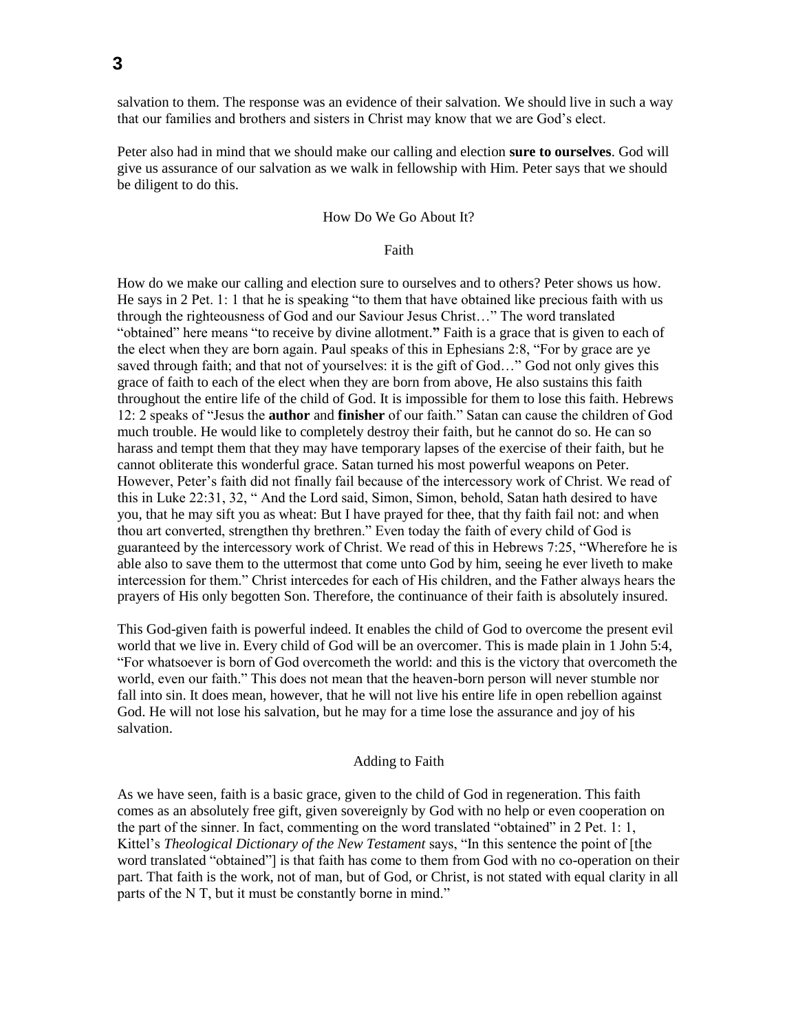salvation to them. The response was an evidence of their salvation. We should live in such a way that our families and brothers and sisters in Christ may know that we are God's elect.

Peter also had in mind that we should make our calling and election **sure to ourselves**. God will give us assurance of our salvation as we walk in fellowship with Him. Peter says that we should be diligent to do this.

## How Do We Go About It?

## Faith

How do we make our calling and election sure to ourselves and to others? Peter shows us how. He says in 2 Pet. 1: 1 that he is speaking "to them that have obtained like precious faith with us through the righteousness of God and our Saviour Jesus Christ…" The word translated "obtained" here means "to receive by divine allotment.**"** Faith is a grace that is given to each of the elect when they are born again. Paul speaks of this in Ephesians 2:8, "For by grace are ye saved through faith; and that not of yourselves: it is the gift of God..." God not only gives this grace of faith to each of the elect when they are born from above, He also sustains this faith throughout the entire life of the child of God. It is impossible for them to lose this faith. Hebrews 12: 2 speaks of "Jesus the **author** and **finisher** of our faith." Satan can cause the children of God much trouble. He would like to completely destroy their faith, but he cannot do so. He can so harass and tempt them that they may have temporary lapses of the exercise of their faith, but he cannot obliterate this wonderful grace. Satan turned his most powerful weapons on Peter. However, Peter's faith did not finally fail because of the intercessory work of Christ. We read of this in Luke 22:31, 32, " And the Lord said, Simon, Simon, behold, Satan hath desired to have you, that he may sift you as wheat: But I have prayed for thee, that thy faith fail not: and when thou art converted, strengthen thy brethren." Even today the faith of every child of God is guaranteed by the intercessory work of Christ. We read of this in Hebrews 7:25, "Wherefore he is able also to save them to the uttermost that come unto God by him, seeing he ever liveth to make intercession for them." Christ intercedes for each of His children, and the Father always hears the prayers of His only begotten Son. Therefore, the continuance of their faith is absolutely insured.

This God-given faith is powerful indeed. It enables the child of God to overcome the present evil world that we live in. Every child of God will be an overcomer. This is made plain in 1 John 5:4, "For whatsoever is born of God overcometh the world: and this is the victory that overcometh the world, even our faith." This does not mean that the heaven-born person will never stumble nor fall into sin. It does mean, however, that he will not live his entire life in open rebellion against God. He will not lose his salvation, but he may for a time lose the assurance and joy of his salvation.

#### Adding to Faith

As we have seen, faith is a basic grace, given to the child of God in regeneration. This faith comes as an absolutely free gift, given sovereignly by God with no help or even cooperation on the part of the sinner. In fact, commenting on the word translated "obtained" in 2 Pet. 1: 1, Kittel's *Theological Dictionary of the New Testament* says, "In this sentence the point of [the word translated "obtained"] is that faith has come to them from God with no co-operation on their part. That faith is the work, not of man, but of God, or Christ, is not stated with equal clarity in all parts of the N T, but it must be constantly borne in mind."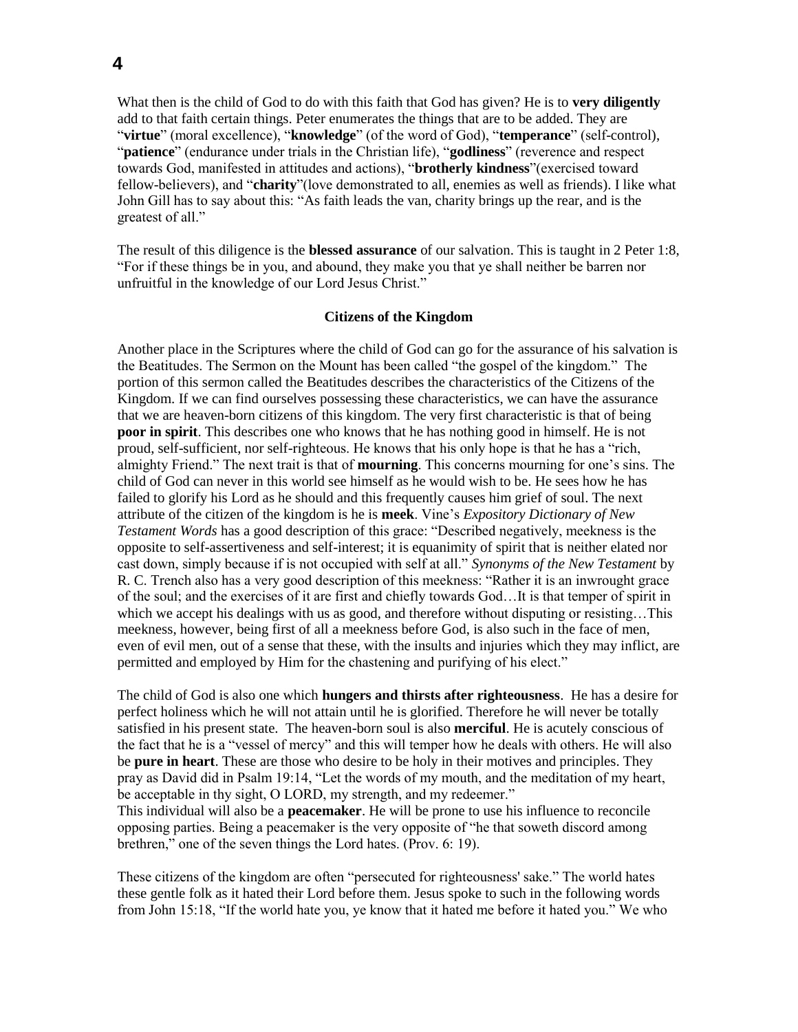What then is the child of God to do with this faith that God has given? He is to **very diligently**  add to that faith certain things. Peter enumerates the things that are to be added. They are "**virtue**" (moral excellence), "**knowledge**" (of the word of God), "**temperance**" (self-control), "**patience**" (endurance under trials in the Christian life), "**godliness**" (reverence and respect towards God, manifested in attitudes and actions), "**brotherly kindness**"(exercised toward fellow-believers), and "**charity**"(love demonstrated to all, enemies as well as friends). I like what John Gill has to say about this: "As faith leads the van, charity brings up the rear, and is the greatest of all."

The result of this diligence is the **blessed assurance** of our salvation. This is taught in 2 Peter 1:8, "For if these things be in you, and abound, they make you that ye shall neither be barren nor unfruitful in the knowledge of our Lord Jesus Christ."

#### **Citizens of the Kingdom**

Another place in the Scriptures where the child of God can go for the assurance of his salvation is the Beatitudes. The Sermon on the Mount has been called "the gospel of the kingdom." The portion of this sermon called the Beatitudes describes the characteristics of the Citizens of the Kingdom. If we can find ourselves possessing these characteristics, we can have the assurance that we are heaven-born citizens of this kingdom. The very first characteristic is that of being **poor in spirit**. This describes one who knows that he has nothing good in himself. He is not proud, self-sufficient, nor self-righteous. He knows that his only hope is that he has a "rich, almighty Friend." The next trait is that of **mourning**. This concerns mourning for one's sins. The child of God can never in this world see himself as he would wish to be. He sees how he has failed to glorify his Lord as he should and this frequently causes him grief of soul. The next attribute of the citizen of the kingdom is he is **meek**. Vine's *Expository Dictionary of New Testament Words* has a good description of this grace: "Described negatively, meekness is the opposite to self-assertiveness and self-interest; it is equanimity of spirit that is neither elated nor cast down, simply because if is not occupied with self at all." *Synonyms of the New Testament* by R. C. Trench also has a very good description of this meekness: "Rather it is an inwrought grace of the soul; and the exercises of it are first and chiefly towards God…It is that temper of spirit in which we accept his dealings with us as good, and therefore without disputing or resisting...This meekness, however, being first of all a meekness before God, is also such in the face of men, even of evil men, out of a sense that these, with the insults and injuries which they may inflict, are permitted and employed by Him for the chastening and purifying of his elect."

The child of God is also one which **hungers and thirsts after righteousness**. He has a desire for perfect holiness which he will not attain until he is glorified. Therefore he will never be totally satisfied in his present state. The heaven-born soul is also **merciful**. He is acutely conscious of the fact that he is a "vessel of mercy" and this will temper how he deals with others. He will also be **pure in heart**. These are those who desire to be holy in their motives and principles. They pray as David did in Psalm 19:14, "Let the words of my mouth, and the meditation of my heart, be acceptable in thy sight, O LORD, my strength, and my redeemer." This individual will also be a **peacemaker**. He will be prone to use his influence to reconcile opposing parties. Being a peacemaker is the very opposite of "he that soweth discord among brethren," one of the seven things the Lord hates. (Prov. 6: 19).

These citizens of the kingdom are often "persecuted for righteousness' sake." The world hates these gentle folk as it hated their Lord before them. Jesus spoke to such in the following words from John 15:18, "If the world hate you, ye know that it hated me before it hated you." We who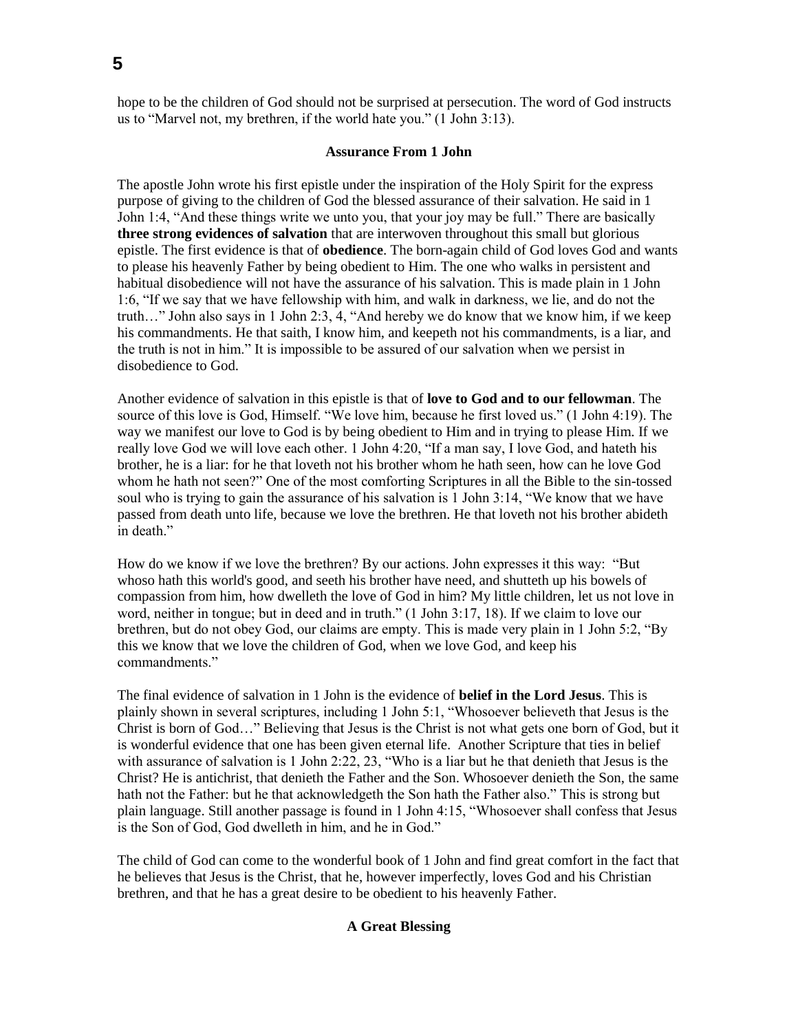hope to be the children of God should not be surprised at persecution. The word of God instructs us to "Marvel not, my brethren, if the world hate you." (1 John 3:13).

## **Assurance From 1 John**

The apostle John wrote his first epistle under the inspiration of the Holy Spirit for the express purpose of giving to the children of God the blessed assurance of their salvation. He said in 1 John 1:4, "And these things write we unto you, that your joy may be full." There are basically **three strong evidences of salvation** that are interwoven throughout this small but glorious epistle. The first evidence is that of **obedience**. The born-again child of God loves God and wants to please his heavenly Father by being obedient to Him. The one who walks in persistent and habitual disobedience will not have the assurance of his salvation. This is made plain in 1 John 1:6, "If we say that we have fellowship with him, and walk in darkness, we lie, and do not the truth…" John also says in 1 John 2:3, 4, "And hereby we do know that we know him, if we keep his commandments. He that saith, I know him, and keepeth not his commandments, is a liar, and the truth is not in him." It is impossible to be assured of our salvation when we persist in disobedience to God.

Another evidence of salvation in this epistle is that of **love to God and to our fellowman**. The source of this love is God, Himself. "We love him, because he first loved us." (1 John 4:19). The way we manifest our love to God is by being obedient to Him and in trying to please Him. If we really love God we will love each other. 1 John 4:20, "If a man say, I love God, and hateth his brother, he is a liar: for he that loveth not his brother whom he hath seen, how can he love God whom he hath not seen?" One of the most comforting Scriptures in all the Bible to the sin-tossed soul who is trying to gain the assurance of his salvation is 1 John 3:14, "We know that we have passed from death unto life, because we love the brethren. He that loveth not his brother abideth in death."

How do we know if we love the brethren? By our actions. John expresses it this way: "But whoso hath this world's good, and seeth his brother have need, and shutteth up his bowels of compassion from him, how dwelleth the love of God in him? My little children, let us not love in word, neither in tongue; but in deed and in truth." (1 John 3:17, 18). If we claim to love our brethren, but do not obey God, our claims are empty. This is made very plain in 1 John 5:2, "By this we know that we love the children of God, when we love God, and keep his commandments."

The final evidence of salvation in 1 John is the evidence of **belief in the Lord Jesus**. This is plainly shown in several scriptures, including 1 John 5:1, "Whosoever believeth that Jesus is the Christ is born of God…" Believing that Jesus is the Christ is not what gets one born of God, but it is wonderful evidence that one has been given eternal life. Another Scripture that ties in belief with assurance of salvation is 1 John 2:22, 23, "Who is a liar but he that denieth that Jesus is the Christ? He is antichrist, that denieth the Father and the Son. Whosoever denieth the Son, the same hath not the Father: but he that acknowledgeth the Son hath the Father also." This is strong but plain language. Still another passage is found in 1 John 4:15, "Whosoever shall confess that Jesus is the Son of God, God dwelleth in him, and he in God."

The child of God can come to the wonderful book of 1 John and find great comfort in the fact that he believes that Jesus is the Christ, that he, however imperfectly, loves God and his Christian brethren, and that he has a great desire to be obedient to his heavenly Father.

# **A Great Blessing**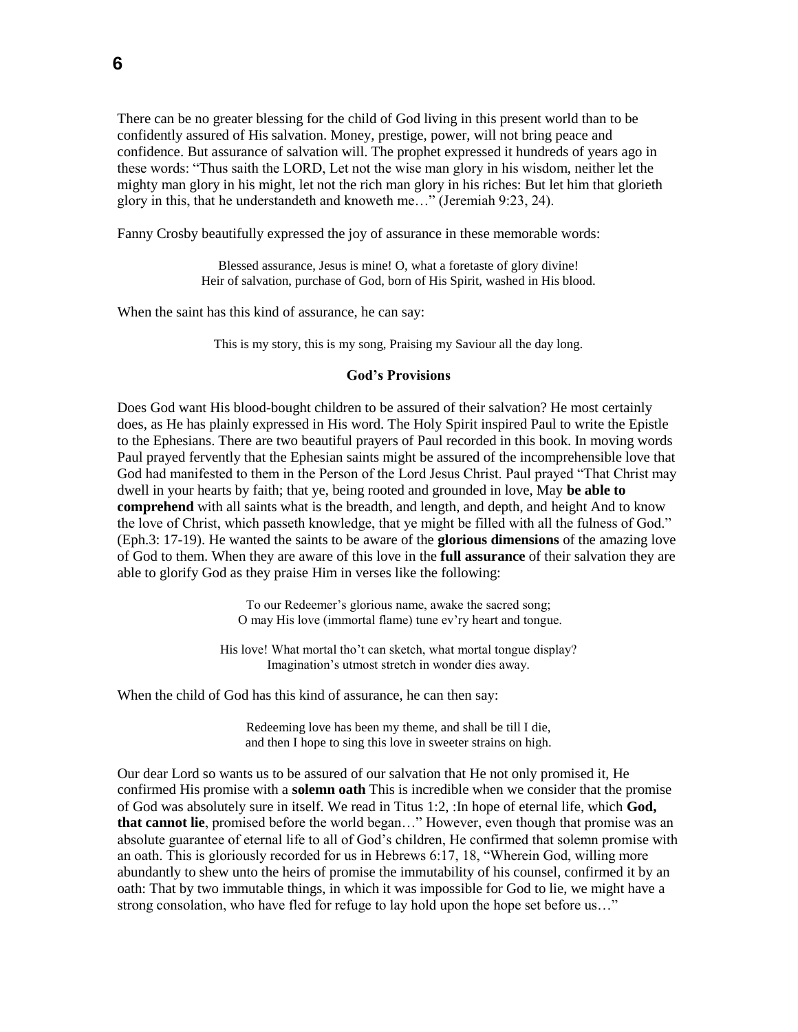There can be no greater blessing for the child of God living in this present world than to be confidently assured of His salvation. Money, prestige, power, will not bring peace and confidence. But assurance of salvation will. The prophet expressed it hundreds of years ago in these words: "Thus saith the LORD, Let not the wise man glory in his wisdom, neither let the mighty man glory in his might, let not the rich man glory in his riches: But let him that glorieth glory in this, that he understandeth and knoweth me…" (Jeremiah 9:23, 24).

Fanny Crosby beautifully expressed the joy of assurance in these memorable words:

Blessed assurance, Jesus is mine! O, what a foretaste of glory divine! Heir of salvation, purchase of God, born of His Spirit, washed in His blood.

When the saint has this kind of assurance, he can say:

This is my story, this is my song, Praising my Saviour all the day long.

#### **God's Provisions**

Does God want His blood-bought children to be assured of their salvation? He most certainly does, as He has plainly expressed in His word. The Holy Spirit inspired Paul to write the Epistle to the Ephesians. There are two beautiful prayers of Paul recorded in this book. In moving words Paul prayed fervently that the Ephesian saints might be assured of the incomprehensible love that God had manifested to them in the Person of the Lord Jesus Christ. Paul prayed "That Christ may dwell in your hearts by faith; that ye, being rooted and grounded in love, May **be able to comprehend** with all saints what is the breadth, and length, and depth, and height And to know the love of Christ, which passeth knowledge, that ye might be filled with all the fulness of God." (Eph.3: 17-19). He wanted the saints to be aware of the **glorious dimensions** of the amazing love of God to them. When they are aware of this love in the **full assurance** of their salvation they are able to glorify God as they praise Him in verses like the following:

> To our Redeemer's glorious name, awake the sacred song; O may His love (immortal flame) tune ev'ry heart and tongue.

His love! What mortal tho't can sketch, what mortal tongue display? Imagination's utmost stretch in wonder dies away.

When the child of God has this kind of assurance, he can then say:

Redeeming love has been my theme, and shall be till I die, and then I hope to sing this love in sweeter strains on high.

Our dear Lord so wants us to be assured of our salvation that He not only promised it, He confirmed His promise with a **solemn oath** This is incredible when we consider that the promise of God was absolutely sure in itself. We read in Titus 1:2, :In hope of eternal life, which **God, that cannot lie**, promised before the world began…" However, even though that promise was an absolute guarantee of eternal life to all of God's children, He confirmed that solemn promise with an oath. This is gloriously recorded for us in Hebrews 6:17, 18, "Wherein God, willing more abundantly to shew unto the heirs of promise the immutability of his counsel, confirmed it by an oath: That by two immutable things, in which it was impossible for God to lie, we might have a strong consolation, who have fled for refuge to lay hold upon the hope set before us…"